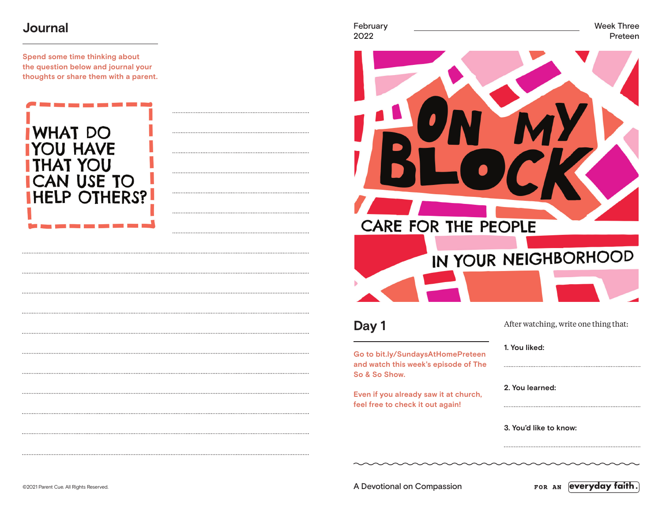## **Journal**

**Spend some time thinking about the question below and journal your thoughts or share them with a parent.**





**Day 1**

**Go to bit.ly/SundaysAtHomePreteen and watch this week's episode of The So & So Show.**

**Even if you already saw it at church, feel free to check it out again!**

| After watching, write one thing that: |  |
|---------------------------------------|--|
|                                       |  |
| 1. You liked:                         |  |

**2. You learned:** 

**3. You'd like to know:** 

February Week Three 2022 Preteen

©2021 Parent Cue. All Rights Reserved. A Devotional on Compassion

FOR AN **everyday faith.**